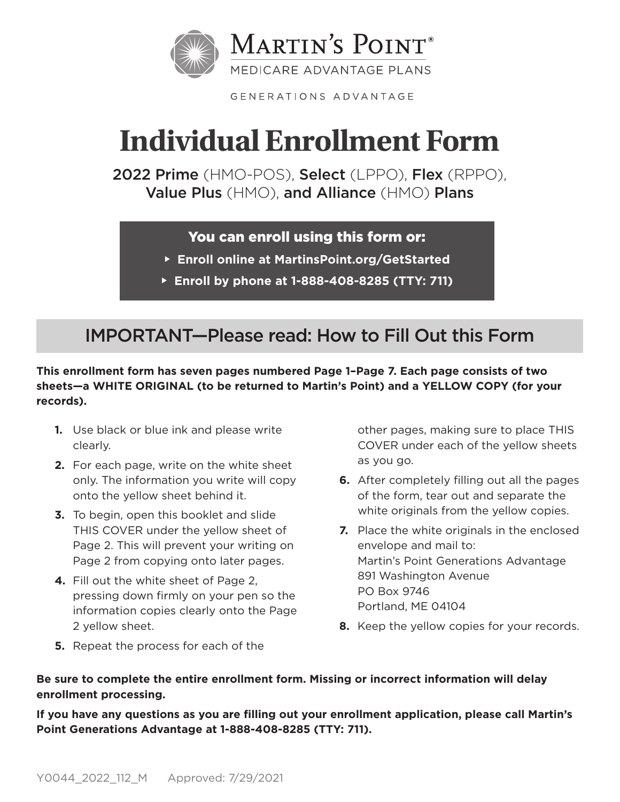

GENERATIONS ADVANTAGE

# **Individual Enrollment Form**

2022 Prime (HMO-POS), Select (LPPO), Flex (RPPO), Value Plus (HMO), and Alliance (HMO) Plans

## You can enroll using this form or:

- **Enroll online at MartinsPoint.org/GetStarted**
- **Enroll by phone at 1-888-408-8285 (TTY: 711)**

## IMPORTANT—Please read: How to Fill Out this Form

**This enrollment form has seven pages numbered Page 1–Page 7. Each page consists of two sheets—a WHITE ORIGINAL (to be returned to Martin's Point) and a YELLOW COPY (for your records).** 

- **1.** Use black or blue ink and please write clearly.
- **2.** For each page, write on the white sheet only. The information you write will copy onto the yellow sheet behind it.
- **3.** To begin, open this booklet and slide THIS COVER under the yellow sheet of Page 2. This will prevent your writing on Page 2 from copying onto later pages.
- **4.** Fill out the white sheet of Page 2, pressing down firmly on your pen so the information copies clearly onto the Page 2 yellow sheet.

**5.** Repeat the process for each of the

other pages, making sure to place THIS COVER under each of the yellow sheets as you go.

- **6.** After completely filling out all the pages of the form, tear out and separate the white originals from the yellow copies.
- **7.** Place the white originals in the enclosed envelope and mail to: Martin's Point Generations Advantage 891 Washington Avenue PO Box 9746 Portland, ME 04104
- **8.** Keep the yellow copies for your records.

## **Be sure to complete the entire enrollment form. Missing or incorrect information will delay enrollment processing.**

**If you have any questions as you are filling out your enrollment application, please call Martin's Point Generations Advantage at 1-888-408-8285 (TTY: 711).**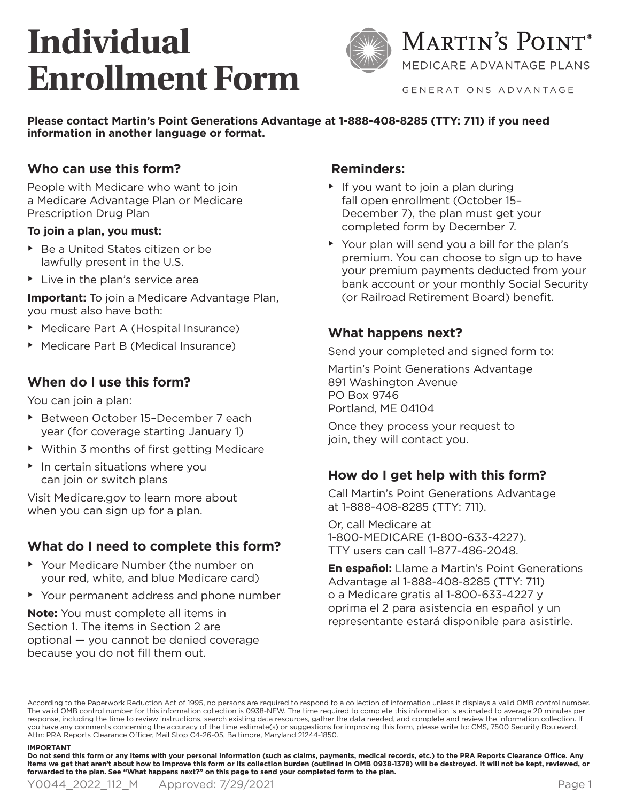# **Individual Enrollment Form**



MEDICARE ADVANTAGE PLANS

GENERATIONS ADVANTAGE

**Please contact Martin's Point Generations Advantage at 1-888-408-8285 (TTY: 711) if you need information in another language or format.**

### **Who can use this form?**

People with Medicare who want to join a Medicare Advantage Plan or Medicare Prescription Drug Plan

#### **To join a plan, you must:**

- ▶ Be a United States citizen or be lawfully present in the U.S.
- $\blacktriangleright$  Live in the plan's service area

**Important:** To join a Medicare Advantage Plan, you must also have both:

- • Medicare Part A (Hospital Insurance)
- ▶ Medicare Part B (Medical Insurance)

### **When do I use this form?**

You can join a plan:

- ▶ Between October 15-December 7 each year (for coverage starting January 1)
- Within 3 months of first getting Medicare
- $\blacktriangleright$  In certain situations where you can join or switch plans

Visit Medicare.gov to learn more about when you can sign up for a plan.

## **What do I need to complete this form?**

- Your Medicare Number (the number on your red, white, and blue Medicare card)
- Your permanent address and phone number

**Note:** You must complete all items in Section 1. The items in Section 2 are optional — you cannot be denied coverage because you do not fill them out.

### **Reminders:**

- $\blacktriangleright$  If you want to join a plan during fall open enrollment (October 15– December 7), the plan must get your completed form by December 7.
- Your plan will send you a bill for the plan's premium. You can choose to sign up to have your premium payments deducted from your bank account or your monthly Social Security (or Railroad Retirement Board) benefit.

### **What happens next?**

Send your completed and signed form to:

Martin's Point Generations Advantage 891 Washington Avenue PO Box 9746 Portland, ME 04104

Once they process your request to join, they will contact you.

## **How do I get help with this form?**

Call Martin's Point Generations Advantage at 1-888-408-8285 (TTY: 711).

Or, call Medicare at 1-800-MEDICARE (1-800-633-4227). TTY users can call 1-877-486-2048.

**En español:** Llame a Martin's Point Generations Advantage al 1-888-408-8285 (TTY: 711) o a Medicare gratis al 1-800-633-4227 y oprima el 2 para asistencia en español y un representante estará disponible para asistirle.

According to the Paperwork Reduction Act of 1995, no persons are required to respond to a collection of information unless it displays a valid OMB control number. The valid OMB control number for this information collection is 0938-NEW. The time required to complete this information is estimated to average 20 minutes per response, including the time to review instructions, search existing data resources, gather the data needed, and complete and review the information collection. If you have any comments concerning the accuracy of the time estimate(s) or suggestions for improving this form, please write to: CMS, 7500 Security Boulevard, Attn: PRA Reports Clearance Officer, Mail Stop C4-26-05, Baltimore, Maryland 21244-1850.

#### **IMPORTANT**

**Do not send this form or any items with your personal information (such as claims, payments, medical records, etc.) to the PRA Reports Clearance Office. Any items we get that aren't about how to improve this form or its collection burden (outlined in OMB 0938-1378) will be destroyed. It will not be kept, reviewed, or forwarded to the plan. See "What happens next?" on this page to send your completed form to the plan.**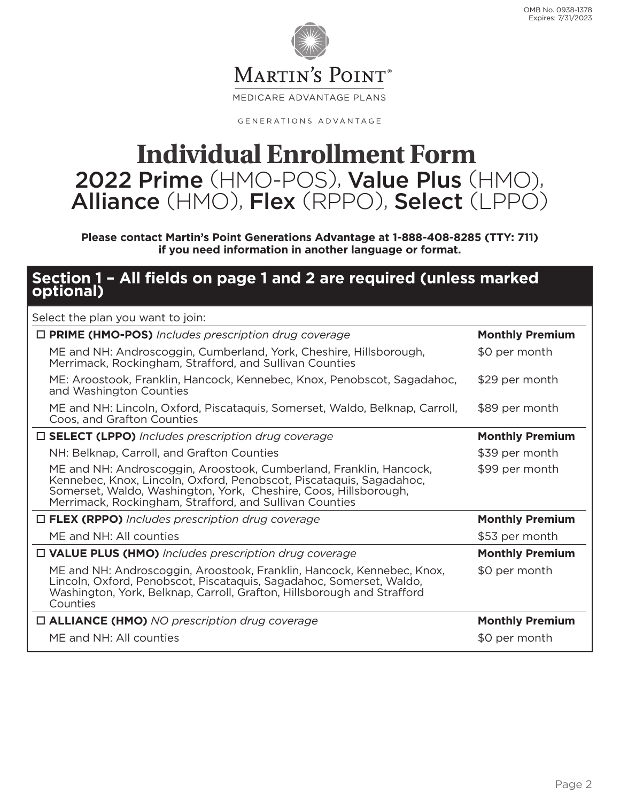

GENERATIONS ADVANTAGE

## **Individual Enrollment Form** 2022 Prime (HMO-POS), Value Plus (HMO), Alliance (HMO), Flex (RPPO), Select (LPPO)

**Please contact Martin's Point Generations Advantage at 1-888-408-8285 (TTY: 711) if you need information in another language or format.**

## **Section 1 – All fields on page 1 and 2 are required (unless marked optional)**

| Select the plan you want to join:                                                                                                                                                                                                                                        |                        |
|--------------------------------------------------------------------------------------------------------------------------------------------------------------------------------------------------------------------------------------------------------------------------|------------------------|
| $\Box$ PRIME (HMO-POS) Includes prescription drug coverage                                                                                                                                                                                                               | <b>Monthly Premium</b> |
| ME and NH: Androscoggin, Cumberland, York, Cheshire, Hillsborough,<br>Merrimack, Rockingham, Strafford, and Sullivan Counties                                                                                                                                            | \$0 per month          |
| ME: Aroostook, Franklin, Hancock, Kennebec, Knox, Penobscot, Sagadahoc,<br>and Washington Counties                                                                                                                                                                       | \$29 per month         |
| ME and NH: Lincoln, Oxford, Piscataquis, Somerset, Waldo, Belknap, Carroll,<br>Coos, and Grafton Counties                                                                                                                                                                | \$89 per month         |
| $\Box$ SELECT (LPPO) Includes prescription drug coverage                                                                                                                                                                                                                 | <b>Monthly Premium</b> |
| NH: Belknap, Carroll, and Grafton Counties                                                                                                                                                                                                                               | \$39 per month         |
| ME and NH: Androscoggin, Aroostook, Cumberland, Franklin, Hancock,<br>Kennebec, Knox, Lincoln, Oxford, Penobscot, Piscataquis, Sagadahoc,<br>Somerset, Waldo, Washington, York, Cheshire, Coos, Hillsborough,<br>Merrimack, Rockingham, Strafford, and Sullivan Counties | \$99 per month         |
| $\Box$ FLEX (RPPO) Includes prescription drug coverage                                                                                                                                                                                                                   | <b>Monthly Premium</b> |
| ME and NH: All counties                                                                                                                                                                                                                                                  | \$53 per month         |
| $\Box$ VALUE PLUS (HMO) Includes prescription drug coverage                                                                                                                                                                                                              | <b>Monthly Premium</b> |
| ME and NH: Androscoggin, Aroostook, Franklin, Hancock, Kennebec, Knox,<br>Lincoln, Oxford, Penobscot, Piscataquis, Sagadahoc, Somerset, Waldo,<br>Washington, York, Belknap, Carroll, Grafton, Hillsborough and Strafford<br>Counties                                    | \$0 per month          |
| $\Box$ ALLIANCE (HMO) NO prescription drug coverage                                                                                                                                                                                                                      | <b>Monthly Premium</b> |
| ME and NH: All counties                                                                                                                                                                                                                                                  | \$0 per month          |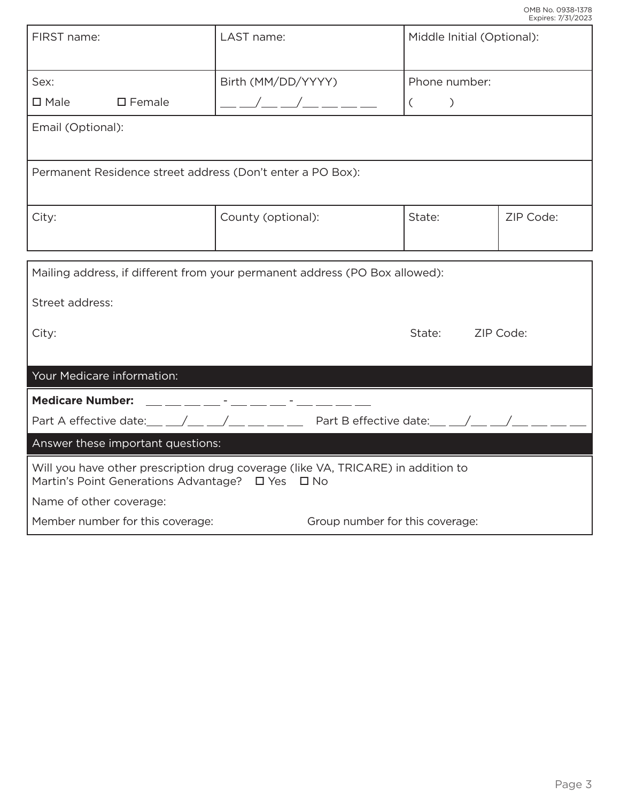|                                                                                                                                                 |                                 |                            | Expires: //31/2023 |  |
|-------------------------------------------------------------------------------------------------------------------------------------------------|---------------------------------|----------------------------|--------------------|--|
| FIRST name:                                                                                                                                     | LAST name:                      | Middle Initial (Optional): |                    |  |
| Sex:                                                                                                                                            | Birth (MM/DD/YYYY)              | Phone number:              |                    |  |
| $\square$ Male<br>$\square$ Female                                                                                                              |                                 | $\mathcal{C}$<br>$\left($  |                    |  |
| Email (Optional):                                                                                                                               |                                 |                            |                    |  |
| Permanent Residence street address (Don't enter a PO Box):                                                                                      |                                 |                            |                    |  |
| City:                                                                                                                                           | County (optional):              | State:                     | ZIP Code:          |  |
| Mailing address, if different from your permanent address (PO Box allowed):                                                                     |                                 |                            |                    |  |
| Street address:                                                                                                                                 |                                 |                            |                    |  |
| City:                                                                                                                                           |                                 | State:                     | ZIP Code:          |  |
| Your Medicare information:                                                                                                                      |                                 |                            |                    |  |
| <b>Medicare Number:</b>                                                                                                                         |                                 |                            |                    |  |
| Part A effective date: / / / / Part B effective date: / / /                                                                                     |                                 |                            |                    |  |
| Answer these important questions:                                                                                                               |                                 |                            |                    |  |
| Will you have other prescription drug coverage (like VA, TRICARE) in addition to<br>Martin's Point Generations Advantage? □ Yes<br>$\square$ No |                                 |                            |                    |  |
| Name of other coverage:                                                                                                                         |                                 |                            |                    |  |
| Member number for this coverage:                                                                                                                | Group number for this coverage: |                            |                    |  |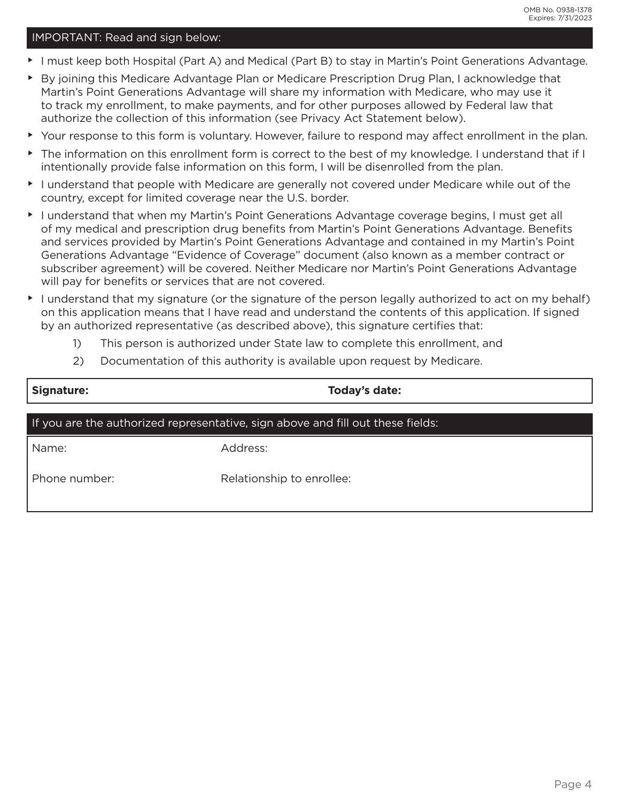#### IMPORTANT: Read and sign below:

- • I must keep both Hospital (Part A) and Medical (Part B) to stay in Martin's Point Generations Advantage.
- • By joining this Medicare Advantage Plan or Medicare Prescription Drug Plan, I acknowledge that Martin's Point Generations Advantage will share my information with Medicare, who may use it to track my enrollment, to make payments, and for other purposes allowed by Federal law that authorize the collection of this information (see Privacy Act Statement below).
- • Your response to this form is voluntary. However, failure to respond may affect enrollment in the plan.
- • The information on this enrollment form is correct to the best of my knowledge. I understand that if I intentionally provide false information on this form, I will be disenrolled from the plan.
- • I understand that people with Medicare are generally not covered under Medicare while out of the country, except for limited coverage near the U.S. border.
- • I understand that when my Martin's Point Generations Advantage coverage begins, I must get all of my medical and prescription drug benefits from Martin's Point Generations Advantage. Benefits and services provided by Martin's Point Generations Advantage and contained in my Martin's Point Generations Advantage "Evidence of Coverage" document (also known as a member contract or subscriber agreement) will be covered. Neither Medicare nor Martin's Point Generations Advantage will pay for benefits or services that are not covered.
- $\blacktriangleright$  I understand that my signature (or the signature of the person legally authorized to act on my behalf) on this application means that I have read and understand the contents of this application. If signed by an authorized representative (as described above), this signature certifies that:
	- 1) This person is authorized under State law to complete this enrollment, and
	- 2) Documentation of this authority is available upon request by Medicare.

| Signature:    | Today's date:                                                                   |
|---------------|---------------------------------------------------------------------------------|
|               | If you are the authorized representative, sign above and fill out these fields: |
| Name:         | Address:                                                                        |
| Phone number: | Relationship to enrollee:                                                       |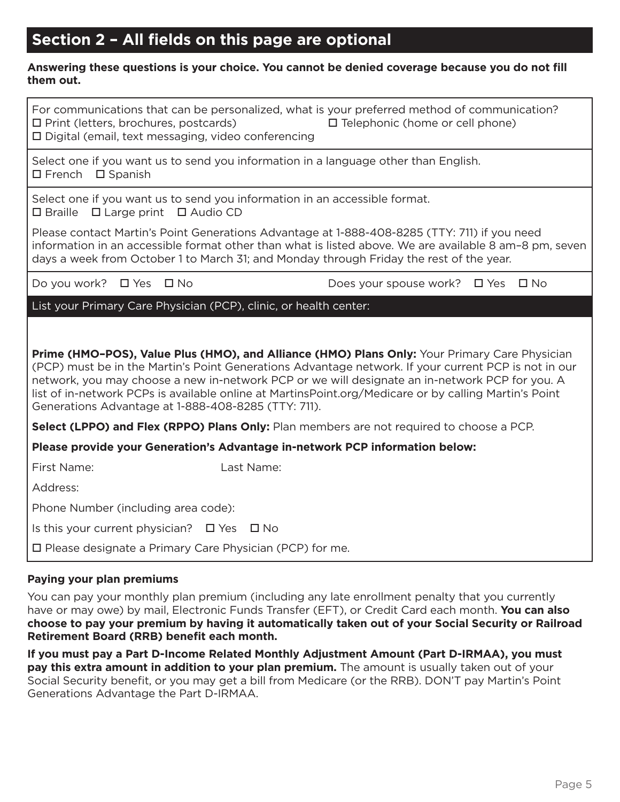## **Section 2 – All fields on this page are optional**

#### **Answering these questions is your choice. You cannot be denied coverage because you do not fill them out.**

| For communications that can be personalized, what is your preferred method of communication?<br>$\Box$ Print (letters, brochures, postcards)<br>$\square$ Telephonic (home or cell phone)<br>□ Digital (email, text messaging, video conferencing                                                                                                                                                                                                                       |  |  |  |  |
|-------------------------------------------------------------------------------------------------------------------------------------------------------------------------------------------------------------------------------------------------------------------------------------------------------------------------------------------------------------------------------------------------------------------------------------------------------------------------|--|--|--|--|
| Select one if you want us to send you information in a language other than English.<br>$\Box$ French $\Box$ Spanish                                                                                                                                                                                                                                                                                                                                                     |  |  |  |  |
| Select one if you want us to send you information in an accessible format.<br>$\Box$ Braille $\Box$ Large print $\Box$ Audio CD                                                                                                                                                                                                                                                                                                                                         |  |  |  |  |
| Please contact Martin's Point Generations Advantage at 1-888-408-8285 (TTY: 711) if you need<br>information in an accessible format other than what is listed above. We are available 8 am-8 pm, seven<br>days a week from October 1 to March 31; and Monday through Friday the rest of the year.                                                                                                                                                                       |  |  |  |  |
| Do you work? □ Yes □ No<br>Does your spouse work? $\Box$ Yes $\Box$ No                                                                                                                                                                                                                                                                                                                                                                                                  |  |  |  |  |
| List your Primary Care Physician (PCP), clinic, or health center:                                                                                                                                                                                                                                                                                                                                                                                                       |  |  |  |  |
| Prime (HMO-POS), Value Plus (HMO), and Alliance (HMO) Plans Only: Your Primary Care Physician<br>(PCP) must be in the Martin's Point Generations Advantage network. If your current PCP is not in our<br>network, you may choose a new in-network PCP or we will designate an in-network PCP for you. A<br>list of in-network PCPs is available online at MartinsPoint.org/Medicare or by calling Martin's Point<br>Generations Advantage at 1-888-408-8285 (TTY: 711). |  |  |  |  |
| Select (LPPO) and Flex (RPPO) Plans Only: Plan members are not required to choose a PCP.                                                                                                                                                                                                                                                                                                                                                                                |  |  |  |  |
| Please provide your Generation's Advantage in-network PCP information below:                                                                                                                                                                                                                                                                                                                                                                                            |  |  |  |  |
| First Name:<br>Last Name:                                                                                                                                                                                                                                                                                                                                                                                                                                               |  |  |  |  |
| Address:                                                                                                                                                                                                                                                                                                                                                                                                                                                                |  |  |  |  |
| Phone Number (including area code):                                                                                                                                                                                                                                                                                                                                                                                                                                     |  |  |  |  |
| Is this your current physician? $\Box$ Yes $\Box$ No                                                                                                                                                                                                                                                                                                                                                                                                                    |  |  |  |  |
| $\square$ Please designate a Primary Care Physician (PCP) for me.                                                                                                                                                                                                                                                                                                                                                                                                       |  |  |  |  |

#### **Paying your plan premiums**

You can pay your monthly plan premium (including any late enrollment penalty that you currently have or may owe) by mail, Electronic Funds Transfer (EFT), or Credit Card each month. **You can also choose to pay your premium by having it automatically taken out of your Social Security or Railroad Retirement Board (RRB) benefit each month.**

**If you must pay a Part D-Income Related Monthly Adjustment Amount (Part D-IRMAA), you must pay this extra amount in addition to your plan premium.** The amount is usually taken out of your Social Security benefit, or you may get a bill from Medicare (or the RRB). DON'T pay Martin's Point Generations Advantage the Part D-IRMAA.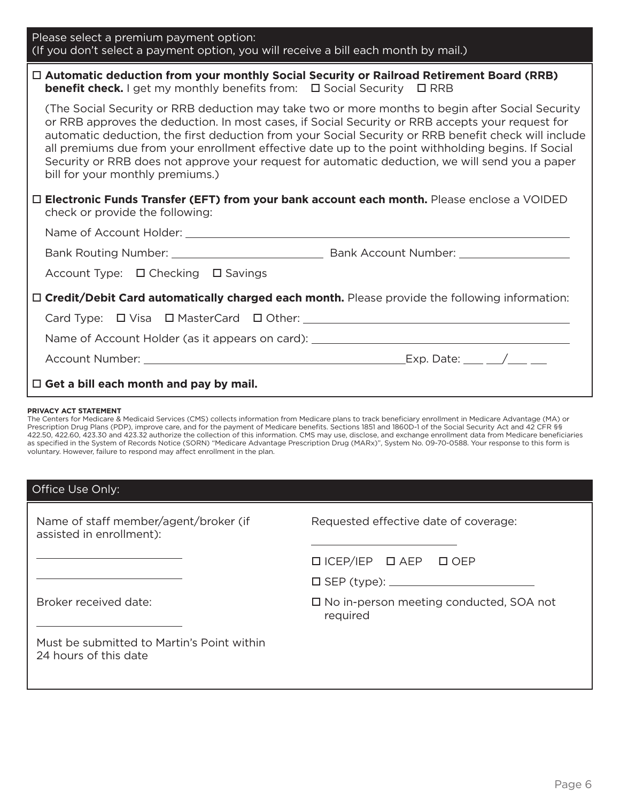| Please select a premium payment option:<br>(If you don't select a payment option, you will receive a bill each month by mail.)                                                                                                                                                                                                                                                                                                                                                                                                                                                                                                                                                                                                                             |
|------------------------------------------------------------------------------------------------------------------------------------------------------------------------------------------------------------------------------------------------------------------------------------------------------------------------------------------------------------------------------------------------------------------------------------------------------------------------------------------------------------------------------------------------------------------------------------------------------------------------------------------------------------------------------------------------------------------------------------------------------------|
| □ Automatic deduction from your monthly Social Security or Railroad Retirement Board (RRB)<br><b>benefit check.</b> I get my monthly benefits from: □ Social Security □ RRB                                                                                                                                                                                                                                                                                                                                                                                                                                                                                                                                                                                |
| (The Social Security or RRB deduction may take two or more months to begin after Social Security<br>or RRB approves the deduction. In most cases, if Social Security or RRB accepts your request for<br>automatic deduction, the first deduction from your Social Security or RRB benefit check will include<br>all premiums due from your enrollment effective date up to the point withholding begins. If Social<br>Security or RRB does not approve your request for automatic deduction, we will send you a paper<br>bill for your monthly premiums.)                                                                                                                                                                                                  |
| □ Electronic Funds Transfer (EFT) from your bank account each month. Please enclose a VOIDED<br>check or provide the following:                                                                                                                                                                                                                                                                                                                                                                                                                                                                                                                                                                                                                            |
|                                                                                                                                                                                                                                                                                                                                                                                                                                                                                                                                                                                                                                                                                                                                                            |
|                                                                                                                                                                                                                                                                                                                                                                                                                                                                                                                                                                                                                                                                                                                                                            |
| Account Type: □ Checking □ Savings                                                                                                                                                                                                                                                                                                                                                                                                                                                                                                                                                                                                                                                                                                                         |
| □ Credit/Debit Card automatically charged each month. Please provide the following information:                                                                                                                                                                                                                                                                                                                                                                                                                                                                                                                                                                                                                                                            |
|                                                                                                                                                                                                                                                                                                                                                                                                                                                                                                                                                                                                                                                                                                                                                            |
| Name of Account Holder (as it appears on card): ________________________________                                                                                                                                                                                                                                                                                                                                                                                                                                                                                                                                                                                                                                                                           |
|                                                                                                                                                                                                                                                                                                                                                                                                                                                                                                                                                                                                                                                                                                                                                            |
| $\Box$ Get a bill each month and pay by mail.                                                                                                                                                                                                                                                                                                                                                                                                                                                                                                                                                                                                                                                                                                              |
| PRIVACY ACT STATEMENT<br>The Centers for Medicare & Medicaid Services (CMS) collects information from Medicare plans to track beneficiary enrollment in Medicare Advantage (MA) or<br>Prescription Drug Plans (PDP), improve care, and for the payment of Medicare benefits. Sections 1851 and 1860D-1 of the Social Security Act and 42 CFR §§<br>422.50, 422.60, 423.30 and 423.32 authorize the collection of this information. CMS may use, disclose, and exchange enrollment data from Medicare beneficiaries<br>as specified in the System of Records Notice (SORN) "Medicare Advantage Prescription Drug (MARx)", System No. 09-70-0588. Your response to this form is<br>voluntary. However, failure to respond may affect enrollment in the plan. |
| Office Use Only:                                                                                                                                                                                                                                                                                                                                                                                                                                                                                                                                                                                                                                                                                                                                           |
| Name of staff member/agent/broker (if<br>Requested effective date of coverage:                                                                                                                                                                                                                                                                                                                                                                                                                                                                                                                                                                                                                                                                             |

 $\Box$  ICEP/IEP  $\Box$  AEP  $\Box$  OEP

□ SEP (type): <u>■ SEP</u> (type): ■

 No in-person meeting conducted, SOA not required

Broker received date:

assisted in enrollment):

Must be submitted to Martin's Point within 24 hours of this date

<u> 1989 - Johann Barbara, martxa a</u>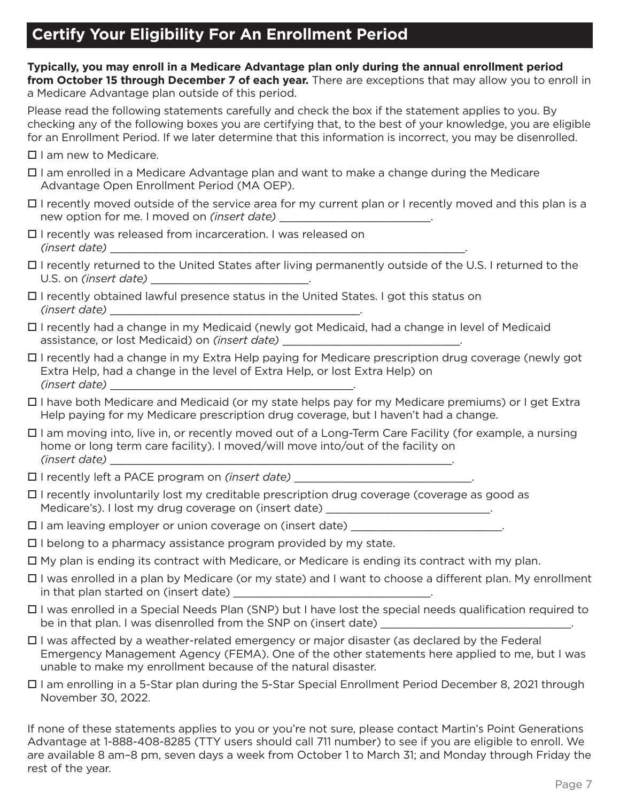## **Certify Your Eligibility For An Enrollment Period**

**Typically, you may enroll in a Medicare Advantage plan only during the annual enrollment period from October 15 through December 7 of each year.** There are exceptions that may allow you to enroll in a Medicare Advantage plan outside of this period.

Please read the following statements carefully and check the box if the statement applies to you. By checking any of the following boxes you are certifying that, to the best of your knowledge, you are eligible for an Enrollment Period. If we later determine that this information is incorrect, you may be disenrolled.

□ I am new to Medicare.

- I am enrolled in a Medicare Advantage plan and want to make a change during the Medicare Advantage Open Enrollment Period (MA OEP).
- $\Box$  I recently moved outside of the service area for my current plan or I recently moved and this plan is a new option for me. I moved on *(insert date)* \_\_\_\_\_\_\_\_\_\_\_\_\_\_\_\_\_\_\_\_\_\_\_\_\_\_.
- □ I recently was released from incarceration. I was released on *(insert date)* \_\_\_\_\_\_\_\_\_\_\_\_\_\_\_\_\_\_\_\_\_\_\_\_\_\_\_\_\_\_\_\_\_\_\_\_\_\_\_\_\_\_\_\_\_\_\_\_\_\_\_\_\_\_.
- I recently returned to the United States after living permanently outside of the U.S. I returned to the U.S. on *(insert date)* \_\_\_\_\_\_\_\_\_\_\_\_\_\_\_\_\_\_\_\_\_\_\_\_.
- $\Box$  I recently obtained lawful presence status in the United States. I got this status on *(insert date)* \_\_\_\_\_\_\_\_\_\_\_\_\_\_\_\_\_\_\_\_\_\_\_\_\_\_\_\_\_\_\_\_\_\_\_\_\_\_.
- I recently had a change in my Medicaid (newly got Medicaid, had a change in level of Medicaid assistance, or lost Medicaid) on *(insert date)* \_\_\_\_\_\_\_\_\_\_\_\_\_\_\_\_\_\_\_\_\_\_\_\_\_\_\_.
- □ I recently had a change in my Extra Help paying for Medicare prescription drug coverage (newly got Extra Help, had a change in the level of Extra Help, or lost Extra Help) on *(insert date)* \_\_\_\_\_\_\_\_\_\_\_\_\_\_\_\_\_\_\_\_\_\_\_\_\_\_\_\_\_\_\_\_\_\_\_\_\_.
- I have both Medicare and Medicaid (or my state helps pay for my Medicare premiums) or I get Extra Help paying for my Medicare prescription drug coverage, but I haven't had a change.
- I am moving into, live in, or recently moved out of a Long-Term Care Facility (for example, a nursing home or long term care facility). I moved/will move into/out of the facility on *(insert date)* \_\_\_\_\_\_\_\_\_\_\_\_\_\_\_\_\_\_\_\_\_\_\_\_\_\_\_\_\_\_\_\_\_\_\_\_\_\_\_\_\_\_\_\_\_\_\_\_\_\_\_\_.
- □ I recently left a PACE program on *(insert date)*
- I recently involuntarily lost my creditable prescription drug coverage (coverage as good as Medicare's). I lost my drug coverage on (insert date) \_\_\_\_\_\_\_\_\_\_\_\_\_\_\_\_\_\_\_\_\_\_\_\_\_\_.
- $\square$  I am leaving employer or union coverage on (insert date)
- $\square$  I belong to a pharmacy assistance program provided by my state.
- $\Box$  My plan is ending its contract with Medicare, or Medicare is ending its contract with my plan.
- I was enrolled in a plan by Medicare (or my state) and I want to choose a different plan. My enrollment in that plan started on (insert date)
- I was enrolled in a Special Needs Plan (SNP) but I have lost the special needs qualification required to be in that plan. I was disenrolled from the SNP on (insert date) \_\_\_\_\_\_\_\_\_\_\_\_\_\_\_
- I was affected by a weather-related emergency or major disaster (as declared by the Federal Emergency Management Agency (FEMA). One of the other statements here applied to me, but I was unable to make my enrollment because of the natural disaster.
- I am enrolling in a 5-Star plan during the 5-Star Special Enrollment Period December 8, 2021 through November 30, 2022.

If none of these statements applies to you or you're not sure, please contact Martin's Point Generations Advantage at 1-888-408-8285 (TTY users should call 711 number) to see if you are eligible to enroll. We are available 8 am–8 pm, seven days a week from October 1 to March 31; and Monday through Friday the rest of the year.